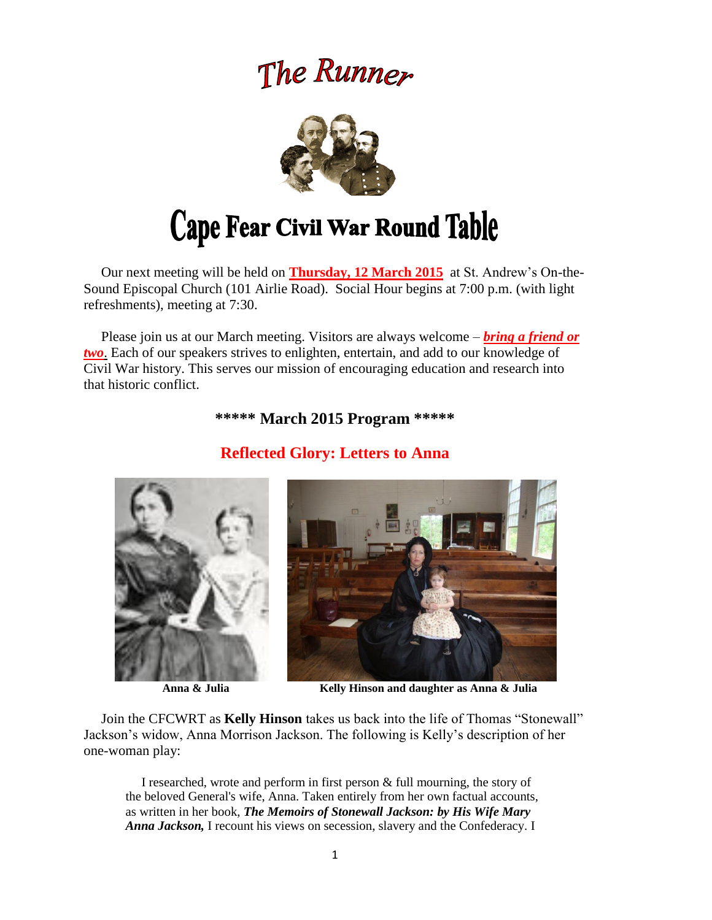# The Runner



# Cape Fear Civil War Round Table

 Our next meeting will be held on **Thursday, 12 March 2015** at St. Andrew's On-the-Sound Episcopal Church (101 Airlie Road). Social Hour begins at 7:00 p.m. (with light refreshments), meeting at 7:30.

 Please join us at our March meeting. Visitors are always welcome – *bring a friend or two*. Each of our speakers strives to enlighten, entertain, and add to our knowledge of Civil War history. This serves our mission of encouraging education and research into that historic conflict.

### **\*\*\*\*\* March 2015 Program \*\*\*\*\***

**Reflected Glory: Letters to Anna**





 **Anna & Julia Kelly Hinson and daughter as Anna & Julia**

Join the CFCWRT as **Kelly Hinson** takes us back into the life of Thomas "Stonewall" Jackson's widow, Anna Morrison Jackson. The following is Kelly's description of her one-woman play:

 I researched, wrote and perform in first person & full mourning, the story of the beloved General's wife, Anna. Taken entirely from her own factual accounts, as written in her book, *The Memoirs of Stonewall Jackson: by His Wife Mary Anna Jackson,* I recount his views on secession, slavery and the Confederacy. I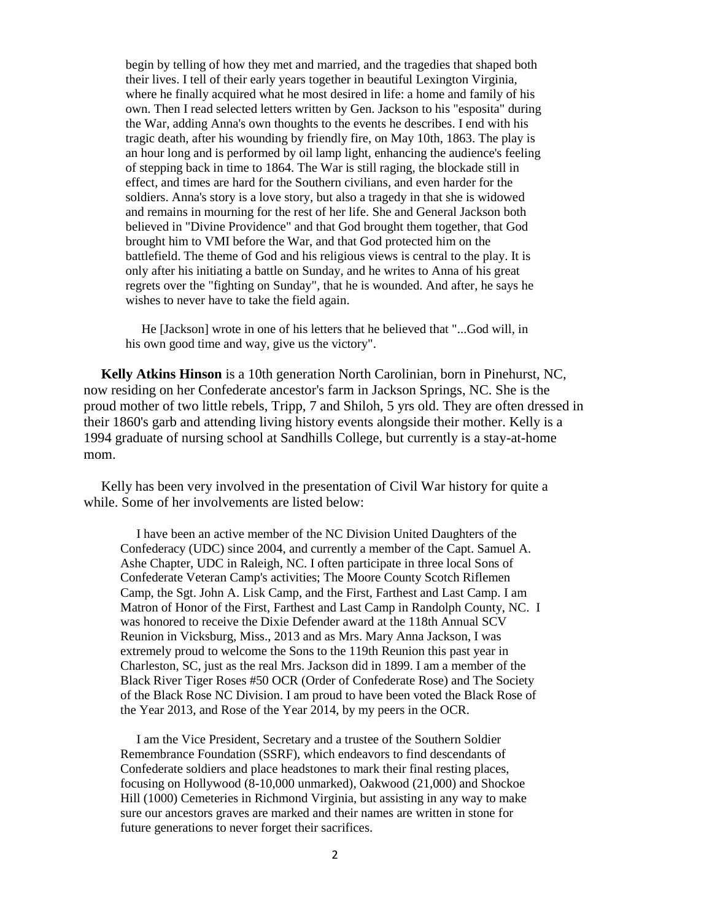begin by telling of how they met and married, and the tragedies that shaped both their lives. I tell of their early years together in beautiful Lexington Virginia, where he finally acquired what he most desired in life: a home and family of his own. Then I read selected letters written by Gen. Jackson to his "esposita" during the War, adding Anna's own thoughts to the events he describes. I end with his tragic death, after his wounding by friendly fire, on May 10th, 1863. The play is an hour long and is performed by oil lamp light, enhancing the audience's feeling of stepping back in time to 1864. The War is still raging, the blockade still in effect, and times are hard for the Southern civilians, and even harder for the soldiers. Anna's story is a love story, but also a tragedy in that she is widowed and remains in mourning for the rest of her life. She and General Jackson both believed in "Divine Providence" and that God brought them together, that God brought him to VMI before the War, and that God protected him on the battlefield. The theme of God and his religious views is central to the play. It is only after his initiating a battle on Sunday, and he writes to Anna of his great regrets over the "fighting on Sunday", that he is wounded. And after, he says he wishes to never have to take the field again.

 He [Jackson] wrote in one of his letters that he believed that "...God will, in his own good time and way, give us the victory".

 **Kelly Atkins Hinson** is a 10th generation North Carolinian, born in Pinehurst, NC, now residing on her Confederate ancestor's farm in Jackson Springs, NC. She is the proud mother of two little rebels, Tripp, 7 and Shiloh, 5 yrs old. They are often dressed in their 1860's garb and attending living history events alongside their mother. Kelly is a 1994 graduate of nursing school at Sandhills College, but currently is a stay-at-home mom.

 Kelly has been very involved in the presentation of Civil War history for quite a while. Some of her involvements are listed below:

 I have been an active member of the NC Division United Daughters of the Confederacy (UDC) since 2004, and currently a member of the Capt. Samuel A. Ashe Chapter, UDC in Raleigh, NC. I often participate in three local Sons of Confederate Veteran Camp's activities; The Moore County Scotch Riflemen Camp, the Sgt. John A. Lisk Camp, and the First, Farthest and Last Camp. I am Matron of Honor of the First, Farthest and Last Camp in Randolph County, NC. I was honored to receive the Dixie Defender award at the 118th Annual SCV Reunion in Vicksburg, Miss., 2013 and as Mrs. Mary Anna Jackson, I was extremely proud to welcome the Sons to the 119th Reunion this past year in Charleston, SC, just as the real Mrs. Jackson did in 1899. I am a member of the Black River Tiger Roses #50 OCR (Order of Confederate Rose) and The Society of the Black Rose NC Division. I am proud to have been voted the Black Rose of the Year 2013, and Rose of the Year 2014, by my peers in the OCR.

 I am the Vice President, Secretary and a trustee of the Southern Soldier Remembrance Foundation (SSRF), which endeavors to find descendants of Confederate soldiers and place headstones to mark their final resting places, focusing on Hollywood (8-10,000 unmarked), Oakwood (21,000) and Shockoe Hill (1000) Cemeteries in Richmond Virginia, but assisting in any way to make sure our ancestors graves are marked and their names are written in stone for future generations to never forget their sacrifices.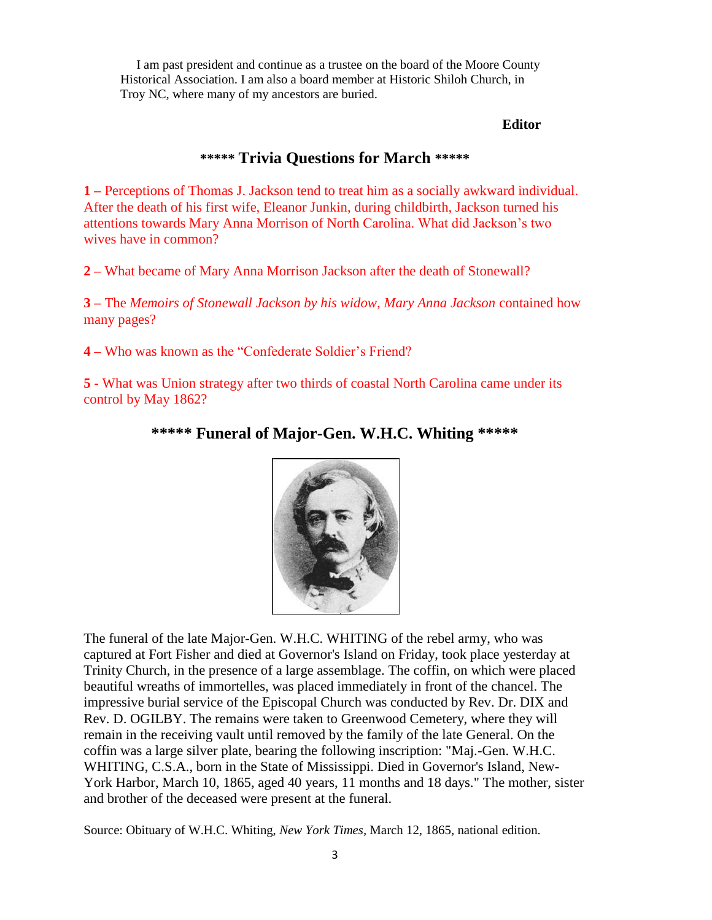I am past president and continue as a trustee on the board of the Moore County Historical Association. I am also a board member at Historic Shiloh Church, in Troy NC, where many of my ancestors are buried.

#### **Editor**

# **\*\*\*\*\* Trivia Questions for March \*\*\*\*\***

**1 –** Perceptions of Thomas J. Jackson tend to treat him as a socially awkward individual. After the death of his first wife, Eleanor Junkin, during childbirth, Jackson turned his attentions towards Mary Anna Morrison of North Carolina. What did Jackson's two wives have in common?

**2 –** What became of Mary Anna Morrison Jackson after the death of Stonewall?

**3 –** The *Memoirs of Stonewall Jackson by his widow, Mary Anna Jackson* contained how many pages?

**4 –** Who was known as the "Confederate Soldier's Friend?

**5 -** What was Union strategy after two thirds of coastal North Carolina came under its control by May 1862?

## **\*\*\*\*\* Funeral of Major-Gen. W.H.C. Whiting \*\*\*\*\***



The funeral of the late Major-Gen. W.H.C. WHITING of the rebel army, who was captured at Fort Fisher and died at Governor's Island on Friday, took place yesterday at Trinity Church, in the presence of a large assemblage. The coffin, on which were placed beautiful wreaths of immortelles, was placed immediately in front of the chancel. The impressive burial service of the Episcopal Church was conducted by Rev. Dr. DIX and Rev. D. OGILBY. The remains were taken to Greenwood Cemetery, where they will remain in the receiving vault until removed by the family of the late General. On the coffin was a large silver plate, bearing the following inscription: "Maj.-Gen. W.H.C. WHITING, C.S.A., born in the State of Mississippi. Died in Governor's Island, New-York Harbor, March 10, 1865, aged 40 years, 11 months and 18 days." The mother, sister and brother of the deceased were present at the funeral.

Source: Obituary of W.H.C. Whiting, *New York Times,* March 12, 1865, national edition.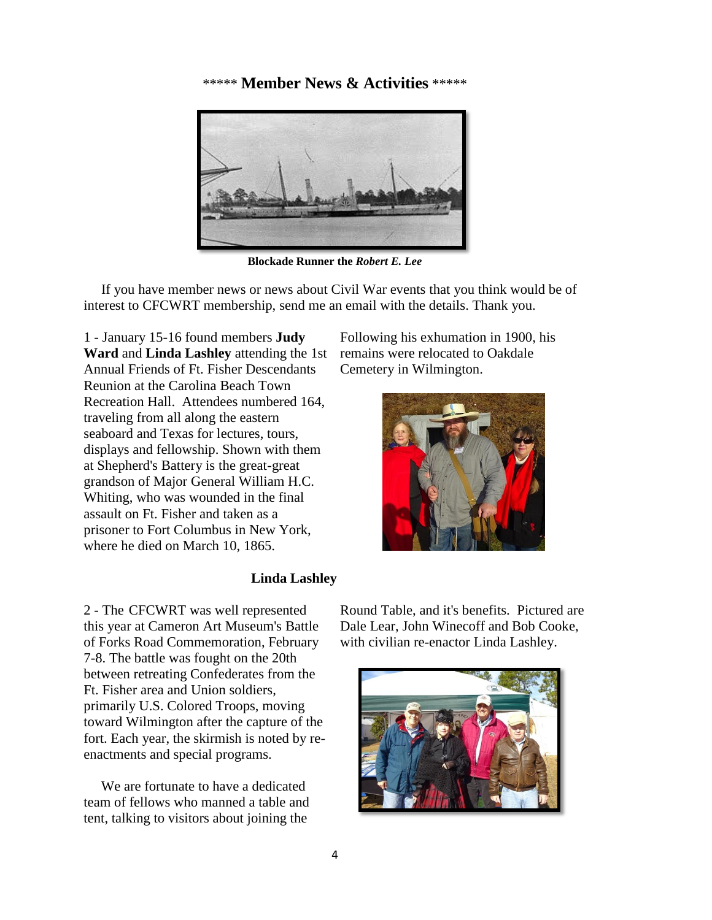#### \*\*\*\*\* **Member News & Activities** \*\*\*\*\*



**Blockade Runner the** *Robert E. Lee*

 If you have member news or news about Civil War events that you think would be of interest to CFCWRT membership, send me an email with the details. Thank you.

1 - January 15-16 found members **Judy Ward** and **Linda Lashley** attending the 1st Annual Friends of Ft. Fisher Descendants Reunion at the Carolina Beach Town Recreation Hall. Attendees numbered 164, traveling from all along the eastern seaboard and Texas for lectures, tours, displays and fellowship. Shown with them at Shepherd's Battery is the great-great grandson of Major General William H.C. Whiting, who was wounded in the final assault on Ft. Fisher and taken as a prisoner to Fort Columbus in New York, where he died on March 10, 1865.

#### Following his exhumation in 1900, his remains were relocated to Oakdale Cemetery in Wilmington.



#### **Linda Lashley**

2 - The CFCWRT was well represented this year at Cameron Art Museum's Battle of Forks Road Commemoration, February 7-8. The battle was fought on the 20th between retreating Confederates from the Ft. Fisher area and Union soldiers, primarily U.S. Colored Troops, moving toward Wilmington after the capture of the fort. Each year, the skirmish is noted by reenactments and special programs.

 We are fortunate to have a dedicated team of fellows who manned a table and tent, talking to visitors about joining the

Round Table, and it's benefits. Pictured are Dale Lear, John Winecoff and Bob Cooke, with civilian re-enactor Linda Lashley.

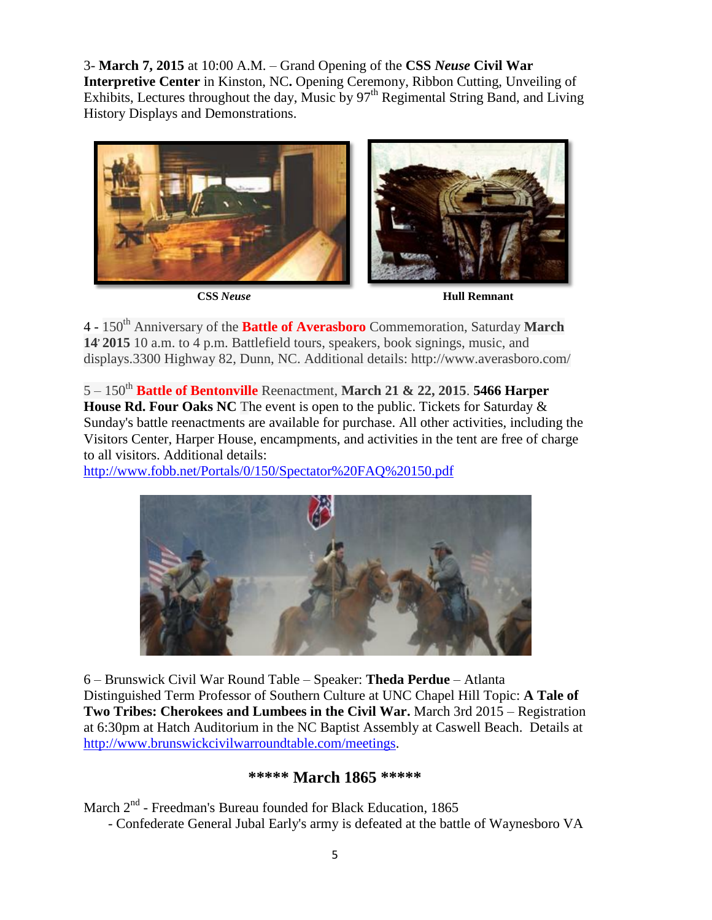3- **March 7, 2015** at 10:00 A.M. – Grand Opening of the **CSS** *Neuse* **Civil War Interpretive Center** in Kinston, NC. Opening Ceremony, Ribbon Cutting, Unveiling of Exhibits, Lectures throughout the day, Music by  $97<sup>th</sup>$  Regimental String Band, and Living History Displays and Demonstrations.



 **CSS** *Neuse* **Hull Remnant**

4 - 150th Anniversary of the **Battle of Averasboro** Commemoration, Saturday **March 14, 2015** 10 a.m. to 4 p.m. Battlefield tours, speakers, book signings, music, and displays.3300 Highway 82, Dunn, NC. Additional details: http://www.averasboro.com/

5 – 150th **Battle of Bentonville** Reenactment, **March 21 & 22, 2015**. **5466 Harper House Rd. Four Oaks NC** The event is open to the public. Tickets for Saturday & Sunday's battle reenactments are available for purchase. All other activities, including the Visitors Center, Harper House, encampments, and activities in the tent are free of charge to all visitors. Additional details:

<http://www.fobb.net/Portals/0/150/Spectator%20FAQ%20150.pdf>



6 – Brunswick Civil War Round Table – Speaker: **Theda Perdue** – Atlanta Distinguished Term Professor of Southern Culture at UNC Chapel Hill Topic: **A Tale of Two Tribes: Cherokees and Lumbees in the Civil War.** March 3rd 2015 – Registration at 6:30pm at Hatch Auditorium in the NC Baptist Assembly at Caswell Beach. Details at [http://www.brunswickcivilwarroundtable.com/meetings.](http://www.brunswickcivilwarroundtable.com/meetings)

#### **\*\*\*\*\* March 1865 \*\*\*\*\***

March 2<sup>nd</sup> - Freedman's Bureau founded for Black Education, 1865 - Confederate General Jubal Early's army is defeated at the battle of Waynesboro VA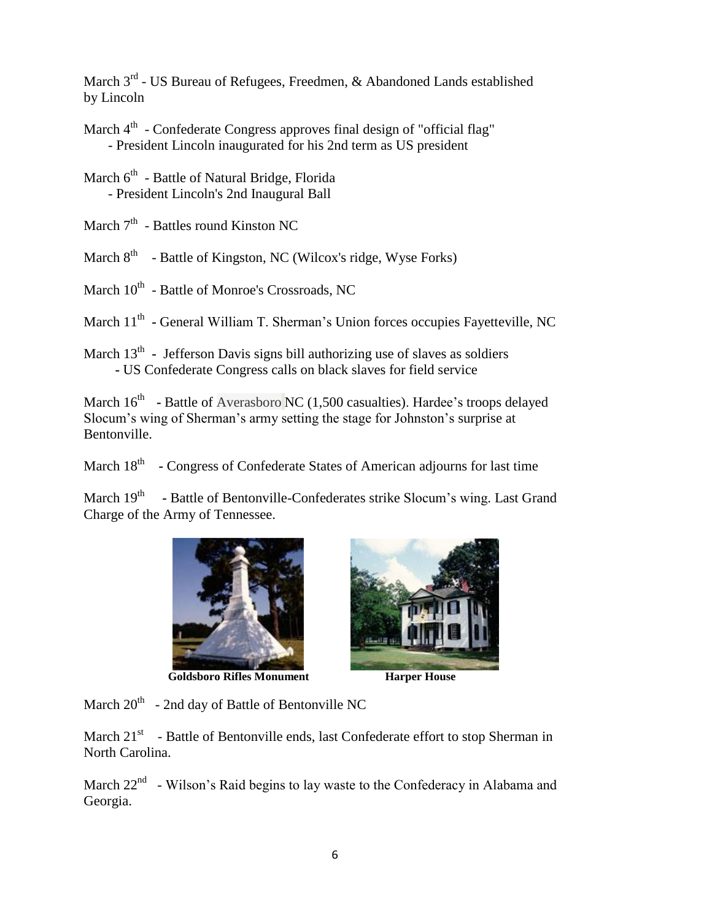March  $3<sup>rd</sup>$  - US Bureau of Refugees, Freedmen, & Abandoned Lands established by Lincoln

March 4<sup>th</sup> - Confederate Congress approves final design of "official flag" - President Lincoln inaugurated for his 2nd term as US president

March 6<sup>th</sup> - Battle of Natural Bridge, Florida - President Lincoln's 2nd Inaugural Ball

March 7<sup>th</sup> - Battles round Kinston NC

March 8<sup>th</sup> - Battle of Kingston, NC (Wilcox's ridge, Wyse Forks)

March  $10^{\text{th}}$  - Battle of Monroe's Crossroads, NC

March 11<sup>th</sup> - General William T. Sherman's Union forces occupies Fayetteville, NC

March 13<sup>th</sup> - Jefferson Davis signs bill authorizing use of slaves as soldiers  **-** US Confederate Congress calls on black slaves for field service

March 16<sup>th</sup> **-** Battle of Averasboro NC (1,500 casualties). Hardee's troops delayed Slocum's wing of Sherman's army setting the stage for Johnston's surprise at Bentonville.

March 18<sup>th</sup> - Congress of Confederate States of American adjourns for last time

March 19<sup>th</sup> - Battle of Bentonville-Confederates strike Slocum's wing. Last Grand Charge of the Army of Tennessee.



**Goldsboro Rifles Monument Harper House** 



March  $20^{th}$  - 2nd day of Battle of Bentonville NC

March  $21<sup>st</sup>$  - Battle of Bentonville ends, last Confederate effort to stop Sherman in North Carolina.

March  $22<sup>nd</sup>$  - Wilson's Raid begins to lay waste to the Confederacy in Alabama and Georgia.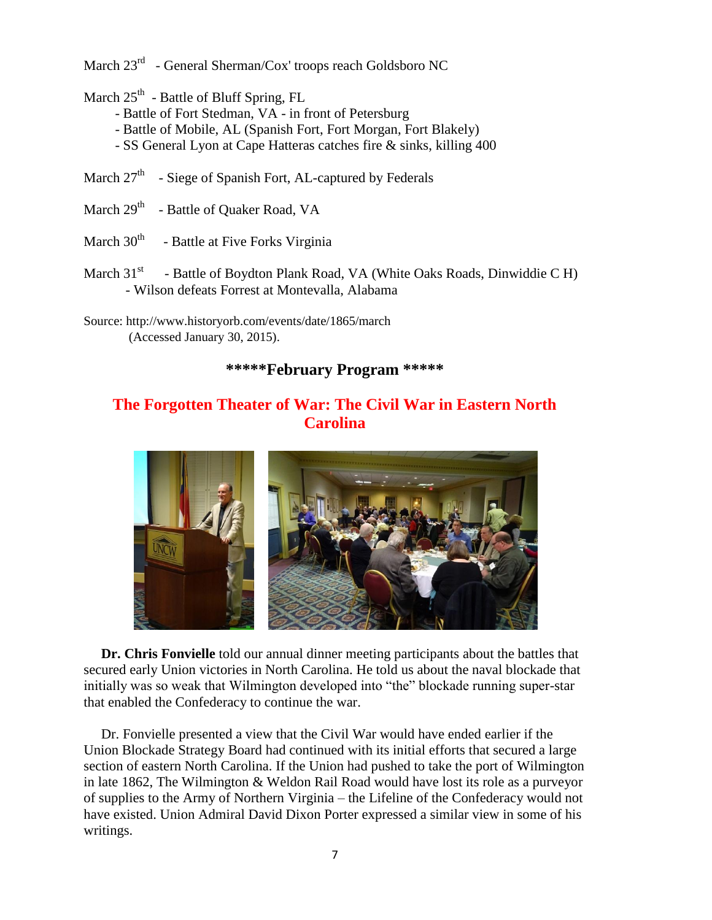March 23<sup>rd</sup> - General Sherman/Cox' troops reach Goldsboro NC

March 25<sup>th</sup> - Battle of Bluff Spring, FL

- Battle of Fort Stedman, VA in front of Petersburg
- Battle of Mobile, AL (Spanish Fort, Fort Morgan, Fort Blakely)
- SS General Lyon at Cape Hatteras catches fire & sinks, killing 400
- March 27<sup>th</sup> Siege of Spanish Fort, AL-captured by Federals
- March 29<sup>th</sup> Battle of Quaker Road, VA
- March  $30<sup>th</sup>$  Battle at Five Forks Virginia
- March  $31<sup>st</sup>$  - Battle of Boydton Plank Road, VA (White Oaks Roads, Dinwiddie C H) - Wilson defeats Forrest at Montevalla, Alabama
- Source: http://www.historyorb.com/events/date/1865/march (Accessed January 30, 2015).

### **\*\*\*\*\*February Program \*\*\*\*\***

# **The Forgotten Theater of War: The Civil War in Eastern North Carolina**



 **Dr. Chris Fonvielle** told our annual dinner meeting participants about the battles that secured early Union victories in North Carolina. He told us about the naval blockade that initially was so weak that Wilmington developed into "the" blockade running super-star that enabled the Confederacy to continue the war.

Dr. Fonvielle presented a view that the Civil War would have ended earlier if the Union Blockade Strategy Board had continued with its initial efforts that secured a large section of eastern North Carolina. If the Union had pushed to take the port of Wilmington in late 1862, The Wilmington & Weldon Rail Road would have lost its role as a purveyor of supplies to the Army of Northern Virginia – the Lifeline of the Confederacy would not have existed. Union Admiral David Dixon Porter expressed a similar view in some of his writings.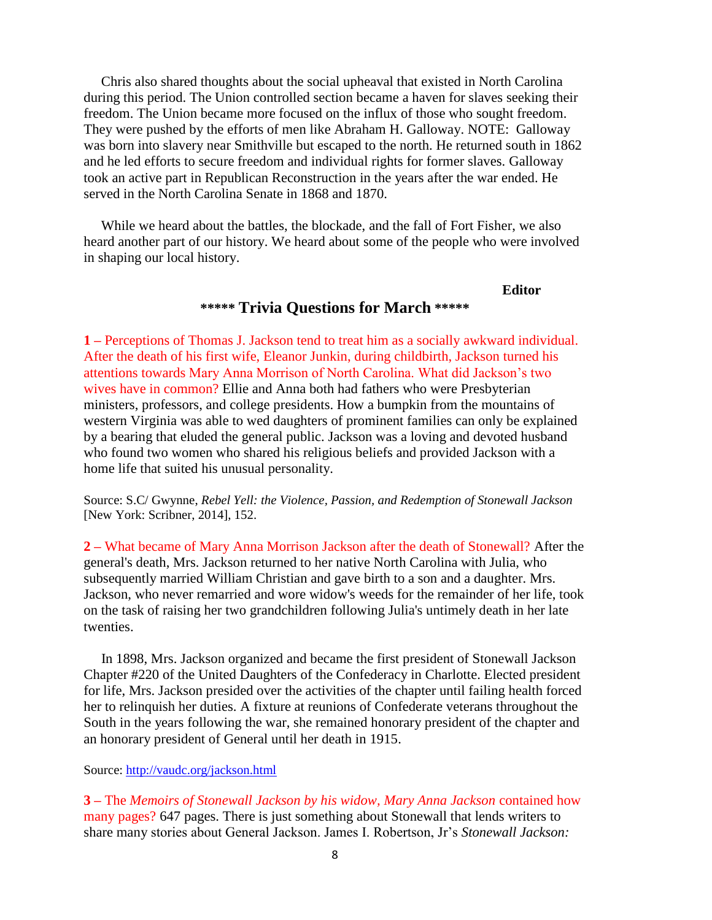Chris also shared thoughts about the social upheaval that existed in North Carolina during this period. The Union controlled section became a haven for slaves seeking their freedom. The Union became more focused on the influx of those who sought freedom. They were pushed by the efforts of men like Abraham H. Galloway. NOTE: Galloway was born into slavery near Smithville but escaped to the north. He returned south in 1862 and he led efforts to secure freedom and individual rights for former slaves. Galloway took an active part in Republican Reconstruction in the years after the war ended. He served in the North Carolina Senate in 1868 and 1870.

 While we heard about the battles, the blockade, and the fall of Fort Fisher, we also heard another part of our history. We heard about some of the people who were involved in shaping our local history.

#### **Editor \*\*\*\*\* Trivia Questions for March \*\*\*\*\***

**1 –** Perceptions of Thomas J. Jackson tend to treat him as a socially awkward individual. After the death of his first wife, Eleanor Junkin, during childbirth, Jackson turned his attentions towards Mary Anna Morrison of North Carolina. What did Jackson's two wives have in common? Ellie and Anna both had fathers who were Presbyterian ministers, professors, and college presidents. How a bumpkin from the mountains of western Virginia was able to wed daughters of prominent families can only be explained by a bearing that eluded the general public. Jackson was a loving and devoted husband who found two women who shared his religious beliefs and provided Jackson with a home life that suited his unusual personality.

Source: S.C/ Gwynne, *Rebel Yell: the Violence, Passion, and Redemption of Stonewall Jackson*  [New York: Scribner, 2014], 152.

**2 –** What became of Mary Anna Morrison Jackson after the death of Stonewall? After the general's death, Mrs. Jackson returned to her native North Carolina with Julia, who subsequently married William Christian and gave birth to a son and a daughter. Mrs. Jackson, who never remarried and wore widow's weeds for the remainder of her life, took on the task of raising her two grandchildren following Julia's untimely death in her late twenties.

 In 1898, Mrs. Jackson organized and became the first president of Stonewall Jackson Chapter #220 of the United Daughters of the Confederacy in Charlotte. Elected president for life, Mrs. Jackson presided over the activities of the chapter until failing health forced her to relinquish her duties. A fixture at reunions of Confederate veterans throughout the South in the years following the war, she remained honorary president of the chapter and an honorary president of General until her death in 1915.

#### Source:<http://vaudc.org/jackson.html>

**3 –** The *Memoirs of Stonewall Jackson by his widow, Mary Anna Jackson* contained how many pages? 647 pages. There is just something about Stonewall that lends writers to share many stories about General Jackson. James I. Robertson, Jr's *Stonewall Jackson:*